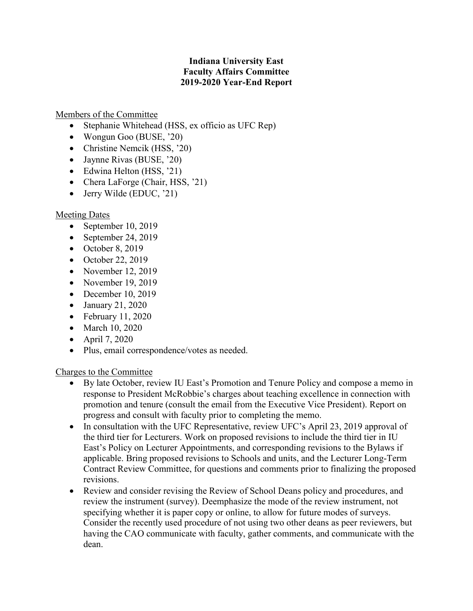## **Indiana University East Faculty Affairs Committee 2019-2020 Year-End Report**

## Members of the Committee

- Stephanie Whitehead (HSS, ex officio as UFC Rep)
- Wongun Goo (BUSE, '20)
- Christine Nemcik (HSS, '20)
- Jaynne Rivas (BUSE, '20)
- Edwina Helton (HSS, '21)
- Chera LaForge (Chair, HSS, '21)
- Jerry Wilde (EDUC, '21)

## Meeting Dates

- September 10, 2019
- September 24, 2019
- $\bullet$  October 8, 2019
- October 22, 2019
- November 12, 2019
- November 19, 2019
- December 10, 2019
- January 21, 2020
- February 11, 2020
- March 10, 2020
- April 7, 2020
- Plus, email correspondence/votes as needed.

## Charges to the Committee

- By late October, review IU East's Promotion and Tenure Policy and compose a memo in response to President McRobbie's charges about teaching excellence in connection with promotion and tenure (consult the email from the Executive Vice President). Report on progress and consult with faculty prior to completing the memo.
- In consultation with the UFC Representative, review UFC's April 23, 2019 approval of the third tier for Lecturers. Work on proposed revisions to include the third tier in IU East's Policy on Lecturer Appointments, and corresponding revisions to the Bylaws if applicable. Bring proposed revisions to Schools and units, and the Lecturer Long-Term Contract Review Committee, for questions and comments prior to finalizing the proposed revisions.
- Review and consider revising the Review of School Deans policy and procedures, and review the instrument (survey). Deemphasize the mode of the review instrument, not specifying whether it is paper copy or online, to allow for future modes of surveys. Consider the recently used procedure of not using two other deans as peer reviewers, but having the CAO communicate with faculty, gather comments, and communicate with the dean.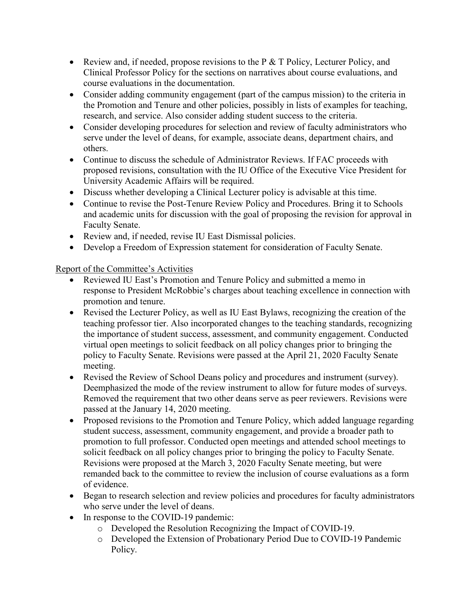- Review and, if needed, propose revisions to the  $P \& T$  Policy, Lecturer Policy, and Clinical Professor Policy for the sections on narratives about course evaluations, and course evaluations in the documentation.
- Consider adding community engagement (part of the campus mission) to the criteria in the Promotion and Tenure and other policies, possibly in lists of examples for teaching, research, and service. Also consider adding student success to the criteria.
- Consider developing procedures for selection and review of faculty administrators who serve under the level of deans, for example, associate deans, department chairs, and others.
- Continue to discuss the schedule of Administrator Reviews. If FAC proceeds with proposed revisions, consultation with the IU Office of the Executive Vice President for University Academic Affairs will be required.
- Discuss whether developing a Clinical Lecturer policy is advisable at this time.
- Continue to revise the Post-Tenure Review Policy and Procedures. Bring it to Schools and academic units for discussion with the goal of proposing the revision for approval in Faculty Senate.
- Review and, if needed, revise IU East Dismissal policies.
- Develop a Freedom of Expression statement for consideration of Faculty Senate.

Report of the Committee's Activities

- Reviewed IU East's Promotion and Tenure Policy and submitted a memo in response to President McRobbie's charges about teaching excellence in connection with promotion and tenure.
- Revised the Lecturer Policy, as well as IU East Bylaws, recognizing the creation of the teaching professor tier. Also incorporated changes to the teaching standards, recognizing the importance of student success, assessment, and community engagement. Conducted virtual open meetings to solicit feedback on all policy changes prior to bringing the policy to Faculty Senate. Revisions were passed at the April 21, 2020 Faculty Senate meeting.
- Revised the Review of School Deans policy and procedures and instrument (survey). Deemphasized the mode of the review instrument to allow for future modes of surveys. Removed the requirement that two other deans serve as peer reviewers. Revisions were passed at the January 14, 2020 meeting.
- Proposed revisions to the Promotion and Tenure Policy, which added language regarding student success, assessment, community engagement, and provide a broader path to promotion to full professor. Conducted open meetings and attended school meetings to solicit feedback on all policy changes prior to bringing the policy to Faculty Senate. Revisions were proposed at the March 3, 2020 Faculty Senate meeting, but were remanded back to the committee to review the inclusion of course evaluations as a form of evidence.
- Began to research selection and review policies and procedures for faculty administrators who serve under the level of deans.
- In response to the COVID-19 pandemic:
	- o Developed the Resolution Recognizing the Impact of COVID-19.
	- o Developed the Extension of Probationary Period Due to COVID-19 Pandemic Policy.